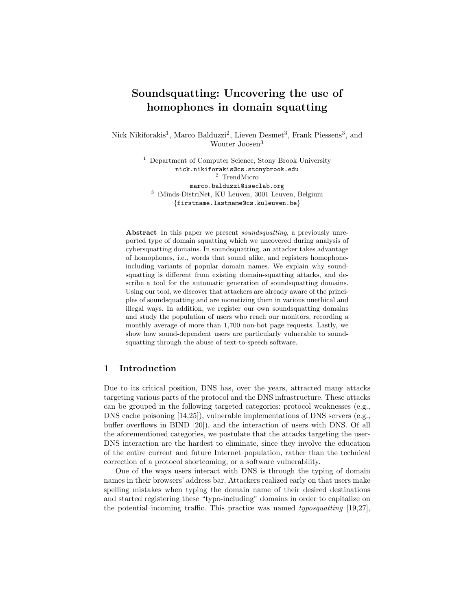# Soundsquatting: Uncovering the use of homophones in domain squatting

Nick Nikiforakis<sup>1</sup>, Marco Balduzzi<sup>2</sup>, Lieven Desmet<sup>3</sup>, Frank Piessens<sup>3</sup>, and Wouter Joosen<sup>3</sup>

> <sup>1</sup> Department of Computer Science, Stony Brook University nick.nikiforakis@cs.stonybrook.edu <sup>2</sup> TrendMicro marco.balduzzi@iseclab.org 3 iMinds-DistriNet, KU Leuven, 3001 Leuven, Belgium {firstname.lastname@cs.kuleuven.be}

Abstract In this paper we present *soundsquatting*, a previously unreported type of domain squatting which we uncovered during analysis of cybersquatting domains. In soundsquatting, an attacker takes advantage of homophones, i.e., words that sound alike, and registers homophoneincluding variants of popular domain names. We explain why soundsquatting is different from existing domain-squatting attacks, and describe a tool for the automatic generation of soundsquatting domains. Using our tool, we discover that attackers are already aware of the principles of soundsquatting and are monetizing them in various unethical and illegal ways. In addition, we register our own soundsquatting domains and study the population of users who reach our monitors, recording a monthly average of more than 1,700 non-bot page requests. Lastly, we show how sound-dependent users are particularly vulnerable to soundsquatting through the abuse of text-to-speech software.

# 1 Introduction

Due to its critical position, DNS has, over the years, attracted many attacks targeting various parts of the protocol and the DNS infrastructure. These attacks can be grouped in the following targeted categories: protocol weaknesses (e.g., DNS cache poisoning [14,25]), vulnerable implementations of DNS servers (e.g., buffer overflows in BIND [20]), and the interaction of users with DNS. Of all the aforementioned categories, we postulate that the attacks targeting the user-DNS interaction are the hardest to eliminate, since they involve the education of the entire current and future Internet population, rather than the technical correction of a protocol shortcoming, or a software vulnerability.

One of the ways users interact with DNS is through the typing of domain names in their browsers' address bar. Attackers realized early on that users make spelling mistakes when typing the domain name of their desired destinations and started registering these "typo-including" domains in order to capitalize on the potential incoming traffic. This practice was named typosquatting [19,27],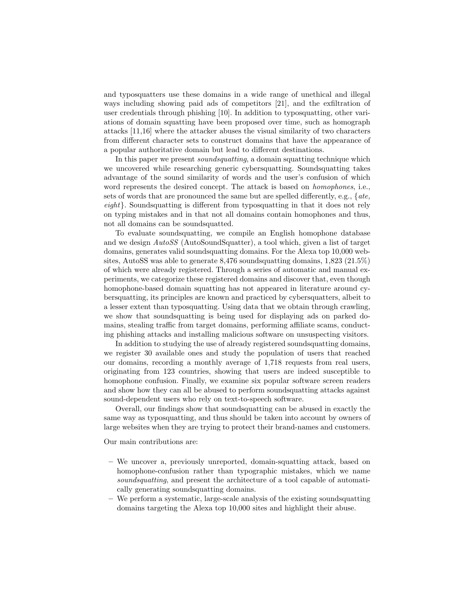and typosquatters use these domains in a wide range of unethical and illegal ways including showing paid ads of competitors [21], and the exfiltration of user credentials through phishing [10]. In addition to typosquatting, other variations of domain squatting have been proposed over time, such as homograph attacks [11,16] where the attacker abuses the visual similarity of two characters from different character sets to construct domains that have the appearance of a popular authoritative domain but lead to different destinations.

In this paper we present *soundsquatting*, a domain squatting technique which we uncovered while researching generic cybersquatting. Soundsquatting takes advantage of the sound similarity of words and the user's confusion of which word represents the desired concept. The attack is based on homophones, i.e., sets of words that are pronounced the same but are spelled differently, e.g.,  $\{ate,$ eight}. Soundsquatting is different from typosquatting in that it does not rely on typing mistakes and in that not all domains contain homophones and thus, not all domains can be soundsquatted.

To evaluate soundsquatting, we compile an English homophone database and we design AutoSS (AutoSoundSquatter), a tool which, given a list of target domains, generates valid soundsquatting domains. For the Alexa top 10,000 websites, AutoSS was able to generate 8,476 soundsquatting domains, 1,823 (21.5%) of which were already registered. Through a series of automatic and manual experiments, we categorize these registered domains and discover that, even though homophone-based domain squatting has not appeared in literature around cybersquatting, its principles are known and practiced by cybersquatters, albeit to a lesser extent than typosquatting. Using data that we obtain through crawling, we show that soundsquatting is being used for displaying ads on parked domains, stealing traffic from target domains, performing affiliate scams, conducting phishing attacks and installing malicious software on unsuspecting visitors.

In addition to studying the use of already registered soundsquatting domains, we register 30 available ones and study the population of users that reached our domains, recording a monthly average of 1,718 requests from real users, originating from 123 countries, showing that users are indeed susceptible to homophone confusion. Finally, we examine six popular software screen readers and show how they can all be abused to perform soundsquatting attacks against sound-dependent users who rely on text-to-speech software.

Overall, our findings show that soundsquatting can be abused in exactly the same way as typosquatting, and thus should be taken into account by owners of large websites when they are trying to protect their brand-names and customers.

Our main contributions are:

- We uncover a, previously unreported, domain-squatting attack, based on homophone-confusion rather than typographic mistakes, which we name soundsquatting, and present the architecture of a tool capable of automatically generating soundsquatting domains.
- We perform a systematic, large-scale analysis of the existing soundsquatting domains targeting the Alexa top 10,000 sites and highlight their abuse.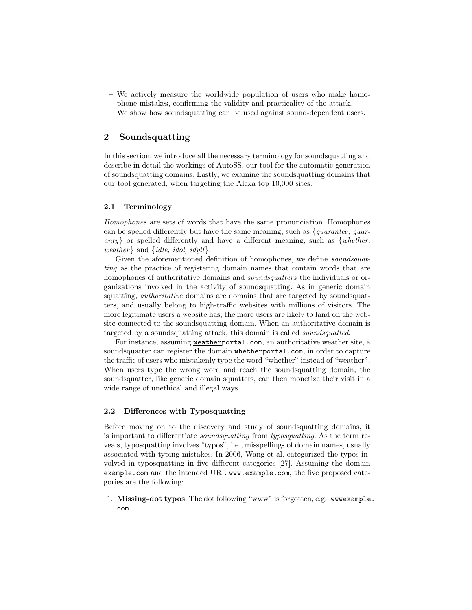- We actively measure the worldwide population of users who make homophone mistakes, confirming the validity and practicality of the attack.
- We show how soundsquatting can be used against sound-dependent users.

### 2 Soundsquatting

In this section, we introduce all the necessary terminology for soundsquatting and describe in detail the workings of AutoSS, our tool for the automatic generation of soundsquatting domains. Lastly, we examine the soundsquatting domains that our tool generated, when targeting the Alexa top 10,000 sites.

#### 2.1 Terminology

Homophones are sets of words that have the same pronunciation. Homophones can be spelled differently but have the same meaning, such as  $\{quar$ anty } or spelled differently and have a different meaning, such as  $\{whether,$ weather and  $\{idle, idol, idyll\}.$ 

Given the aforementioned definition of homophones, we define *soundsquat*ting as the practice of registering domain names that contain words that are homophones of authoritative domains and *soundsquatters* the individuals or organizations involved in the activity of soundsquatting. As in generic domain squatting, *authoritative* domains are domains that are targeted by soundsquatters, and usually belong to high-traffic websites with millions of visitors. The more legitimate users a website has, the more users are likely to land on the website connected to the soundsquatting domain. When an authoritative domain is targeted by a soundsquatting attack, this domain is called soundsquatted.

For instance, assuming weatherportal.com, an authoritative weather site, a soundsquatter can register the domain whetherportal.com, in order to capture the traffic of users who mistakenly type the word "whether" instead of "weather". When users type the wrong word and reach the soundsquatting domain, the soundsquatter, like generic domain squatters, can then monetize their visit in a wide range of unethical and illegal ways.

#### 2.2 Differences with Typosquatting

Before moving on to the discovery and study of soundsquatting domains, it is important to differentiate *soundsquatting* from typosquatting. As the term reveals, typosquatting involves "typos", i.e., misspellings of domain names, usually associated with typing mistakes. In 2006, Wang et al. categorized the typos involved in typosquatting in five different categories [27]. Assuming the domain example.com and the intended URL www.example.com, the five proposed categories are the following:

1. Missing-dot typos: The dot following "www" is forgotten, e.g., wwwexample. com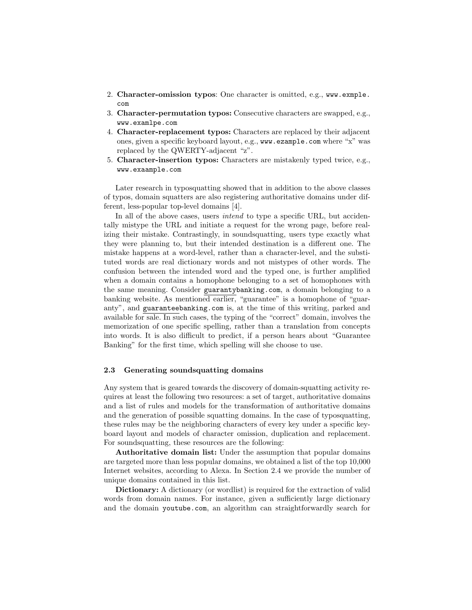- 2. Character-omission typos: One character is omitted, e.g., www.exmple. com
- 3. Character-permutation typos: Consecutive characters are swapped, e.g., www.examlpe.com
- 4. Character-replacement typos: Characters are replaced by their adjacent ones, given a specific keyboard layout, e.g., www.ezample.com where "x" was replaced by the QWERTY-adjacent "z".
- 5. Character-insertion typos: Characters are mistakenly typed twice, e.g., www.exaample.com

Later research in typosquatting showed that in addition to the above classes of typos, domain squatters are also registering authoritative domains under different, less-popular top-level domains [4].

In all of the above cases, users *intend* to type a specific URL, but accidentally mistype the URL and initiate a request for the wrong page, before realizing their mistake. Contrastingly, in soundsquatting, users type exactly what they were planning to, but their intended destination is a different one. The mistake happens at a word-level, rather than a character-level, and the substituted words are real dictionary words and not mistypes of other words. The confusion between the intended word and the typed one, is further amplified when a domain contains a homophone belonging to a set of homophones with the same meaning. Consider guarantybanking.com, a domain belonging to a banking website. As mentioned earlier, "guarantee" is a homophone of "guaranty", and guaranteebanking.com is, at the time of this writing, parked and available for sale. In such cases, the typing of the "correct" domain, involves the memorization of one specific spelling, rather than a translation from concepts into words. It is also difficult to predict, if a person hears about "Guarantee Banking" for the first time, which spelling will she choose to use.

#### 2.3 Generating soundsquatting domains

Any system that is geared towards the discovery of domain-squatting activity requires at least the following two resources: a set of target, authoritative domains and a list of rules and models for the transformation of authoritative domains and the generation of possible squatting domains. In the case of typosquatting, these rules may be the neighboring characters of every key under a specific keyboard layout and models of character omission, duplication and replacement. For soundsquatting, these resources are the following:

Authoritative domain list: Under the assumption that popular domains are targeted more than less popular domains, we obtained a list of the top 10,000 Internet websites, according to Alexa. In Section 2.4 we provide the number of unique domains contained in this list.

Dictionary: A dictionary (or wordlist) is required for the extraction of valid words from domain names. For instance, given a sufficiently large dictionary and the domain youtube.com, an algorithm can straightforwardly search for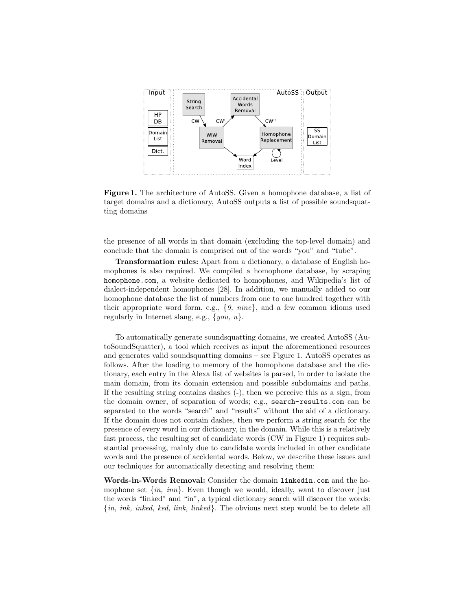

Figure 1. The architecture of AutoSS. Given a homophone database, a list of target domains and a dictionary, AutoSS outputs a list of possible soundsquatting domains

the presence of all words in that domain (excluding the top-level domain) and conclude that the domain is comprised out of the words "you" and "tube".

Transformation rules: Apart from a dictionary, a database of English homophones is also required. We compiled a homophone database, by scraping homophone.com, a website dedicated to homophones, and Wikipedia's list of dialect-independent homophones [28]. In addition, we manually added to our homophone database the list of numbers from one to one hundred together with their appropriate word form, e.g.,  $\{9, \text{ nine}\}$ , and a few common idioms used regularly in Internet slang, e.g.,  $\{you, u\}$ .

To automatically generate soundsquatting domains, we created AutoSS (AutoSoundSquatter), a tool which receives as input the aforementioned resources and generates valid soundsquatting domains – see Figure 1. AutoSS operates as follows. After the loading to memory of the homophone database and the dictionary, each entry in the Alexa list of websites is parsed, in order to isolate the main domain, from its domain extension and possible subdomains and paths. If the resulting string contains dashes (-), then we perceive this as a sign, from the domain owner, of separation of words; e.g., search-results.com can be separated to the words "search" and "results" without the aid of a dictionary. If the domain does not contain dashes, then we perform a string search for the presence of every word in our dictionary, in the domain. While this is a relatively fast process, the resulting set of candidate words (CW in Figure 1) requires substantial processing, mainly due to candidate words included in other candidate words and the presence of accidental words. Below, we describe these issues and our techniques for automatically detecting and resolving them:

Words-in-Words Removal: Consider the domain linkedin.com and the homophone set  $\{in, im\}$ . Even though we would, ideally, want to discover just the words "linked" and "in", a typical dictionary search will discover the words: {in, ink, inked, ked, link, linked}. The obvious next step would be to delete all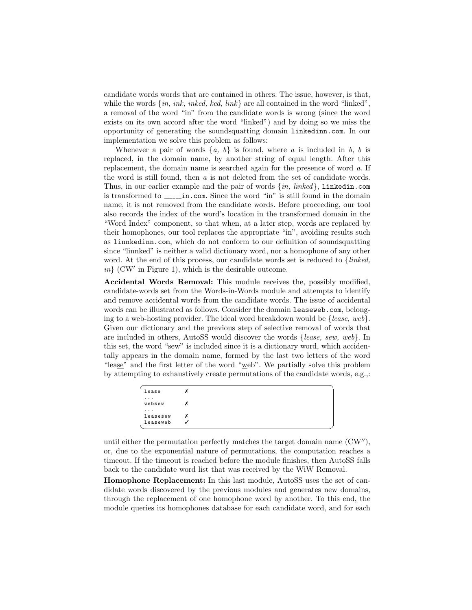candidate words words that are contained in others. The issue, however, is that, while the words  $\{in, ink, inked, ked, link\}$  are all contained in the word "linked", a removal of the word "in" from the candidate words is wrong (since the word exists on its own accord after the word "linked") and by doing so we miss the opportunity of generating the soundsquatting domain linkedinn.com. In our implementation we solve this problem as follows:

Whenever a pair of words  $\{a, b\}$  is found, where a is included in b, b is replaced, in the domain name, by another string of equal length. After this replacement, the domain name is searched again for the presence of word a. If the word is still found, then a is not deleted from the set of candidate words. Thus, in our earlier example and the pair of words  $\{in, linked\}$ , linkedin.com is transformed to **in.com**. Since the word "in" is still found in the domain name, it is not removed from the candidate words. Before proceeding, our tool also records the index of the word's location in the transformed domain in the "Word Index" component, so that when, at a later step, words are replaced by their homophones, our tool replaces the appropriate "in", avoiding results such as linnkedinn.com, which do not conform to our definition of soundsquatting since "linnked" is neither a valid dictionary word, nor a homophone of any other word. At the end of this process, our candidate words set is reduced to {*linked*,  $in\}$  (CW' in Figure 1), which is the desirable outcome.

Accidental Words Removal: This module receives the, possibly modified, candidate-words set from the Words-in-Words module and attempts to identify and remove accidental words from the candidate words. The issue of accidental words can be illustrated as follows. Consider the domain leaseweb.com, belonging to a web-hosting provider. The ideal word breakdown would be  ${lease, web}$ . Given our dictionary and the previous step of selective removal of words that are included in others, AutoSS would discover the words {lease, sew, web}. In this set, the word "sew" is included since it is a dictionary word, which accidentally appears in the domain name, formed by the last two letters of the word "lease" and the first letter of the word "web". We partially solve this problem by attempting to exhaustively create permutations of the candidate words, e.g.,:

| lease                             |   |
|-----------------------------------|---|
| $\cdot$ $\cdot$ $\cdot$<br>websew |   |
| $\cdot$ $\cdot$ $\cdot$           |   |
| leasesew                          | x |
| leaseweb                          |   |

until either the permutation perfectly matches the target domain name  $(CW'')$ , or, due to the exponential nature of permutations, the computation reaches a timeout. If the timeout is reached before the module finishes, then AutoSS falls back to the candidate word list that was received by the WiW Removal.

Homophone Replacement: In this last module, AutoSS uses the set of candidate words discovered by the previous modules and generates new domains, through the replacement of one homophone word by another. To this end, the module queries its homophones database for each candidate word, and for each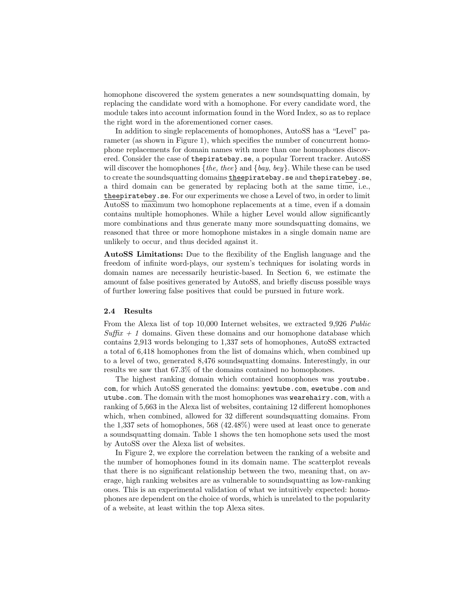homophone discovered the system generates a new soundsquatting domain, by replacing the candidate word with a homophone. For every candidate word, the module takes into account information found in the Word Index, so as to replace the right word in the aforementioned corner cases.

In addition to single replacements of homophones, AutoSS has a "Level" parameter (as shown in Figure 1), which specifies the number of concurrent homophone replacements for domain names with more than one homophones discovered. Consider the case of thepiratebay.se, a popular Torrent tracker. AutoSS will discover the homophones  $\{the, \,thee\}$  and  $\{bay, \,bey\}$ . While these can be used to create the soundsquatting domains theepiratebay.se and thepiratebey.se, a third domain can be generated by replacing both at the same time, i.e., theepiratebey.se. For our experiments we chose a Level of two, in order to limit AutoSS to maximum two homophone replacements at a time, even if a domain contains multiple homophones. While a higher Level would allow significantly more combinations and thus generate many more soundsquatting domains, we reasoned that three or more homophone mistakes in a single domain name are unlikely to occur, and thus decided against it.

AutoSS Limitations: Due to the flexibility of the English language and the freedom of infinite word-plays, our system's techniques for isolating words in domain names are necessarily heuristic-based. In Section 6, we estimate the amount of false positives generated by AutoSS, and briefly discuss possible ways of further lowering false positives that could be pursued in future work.

#### 2.4 Results

From the Alexa list of top 10,000 Internet websites, we extracted 9,926 Public  $Suffix + 1$  domains. Given these domains and our homophone database which contains 2,913 words belonging to 1,337 sets of homophones, AutoSS extracted a total of 6,418 homophones from the list of domains which, when combined up to a level of two, generated 8,476 soundsquatting domains. Interestingly, in our results we saw that 67.3% of the domains contained no homophones.

The highest ranking domain which contained homophones was youtube. com, for which AutoSS generated the domains: yewtube.com, ewetube.com and utube.com. The domain with the most homophones was wearehairy.com, with a ranking of 5,663 in the Alexa list of websites, containing 12 different homophones which, when combined, allowed for 32 different soundsquatting domains. From the 1,337 sets of homophones, 568 (42.48%) were used at least once to generate a soundsquatting domain. Table 1 shows the ten homophone sets used the most by AutoSS over the Alexa list of websites.

In Figure 2, we explore the correlation between the ranking of a website and the number of homophones found in its domain name. The scatterplot reveals that there is no significant relationship between the two, meaning that, on average, high ranking websites are as vulnerable to soundsquatting as low-ranking ones. This is an experimental validation of what we intuitively expected: homophones are dependent on the choice of words, which is unrelated to the popularity of a website, at least within the top Alexa sites.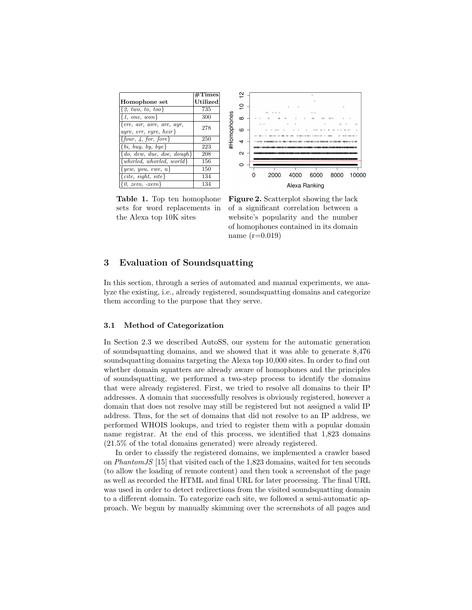|                                    | $\#\mathrm{Times}$ |
|------------------------------------|--------------------|
| Homophone set                      | Utilized           |
| $\{2, two, to, too\}$              | 735                |
| $\{1, \text{ one}, \text{ won}\}\$ | 300                |
| $\{ere, air, aire, are, ayr,$      | 278                |
| ayre, err, eyre, heir $\}$         |                    |
| $\{four, 4, for, fore\}$           | 250                |
| $\{bi, buy, by, bye\}$             | 223                |
| $\{do, dew, due, doe, dough\}$     | 208                |
| $\{whirled, whorled, world\}$      | 156                |
| $\{yew, you, ewe, u\}$             | 150                |
| $\{cite, sight, site\}$            | 134                |
| $\{0, zero, -xero\}$               | 134                |



Table 1. Top ten homophone sets for word replacements in the Alexa top 10K sites

Figure 2. Scatterplot showing the lack of a significant correlation between a website's popularity and the number of homophones contained in its domain name  $(r=0.019)$ 

# 3 Evaluation of Soundsquatting

In this section, through a series of automated and manual experiments, we analyze the existing, i.e., already registered, soundsquatting domains and categorize them according to the purpose that they serve.

## 3.1 Method of Categorization

In Section 2.3 we described AutoSS, our system for the automatic generation of soundsquatting domains, and we showed that it was able to generate 8,476 soundsquatting domains targeting the Alexa top 10,000 sites. In order to find out whether domain squatters are already aware of homophones and the principles of soundsquatting, we performed a two-step process to identify the domains that were already registered. First, we tried to resolve all domains to their IP addresses. A domain that successfully resolves is obviously registered, however a domain that does not resolve may still be registered but not assigned a valid IP address. Thus, for the set of domains that did not resolve to an IP address, we performed WHOIS lookups, and tried to register them with a popular domain name registrar. At the end of this process, we identified that 1,823 domains (21.5% of the total domains generated) were already registered.

In order to classify the registered domains, we implemented a crawler based on PhantomJS [15] that visited each of the 1,823 domains, waited for ten seconds (to allow the loading of remote content) and then took a screenshot of the page as well as recorded the HTML and final URL for later processing. The final URL was used in order to detect redirections from the visited soundsquatting domain to a different domain. To categorize each site, we followed a semi-automatic approach. We begun by manually skimming over the screenshots of all pages and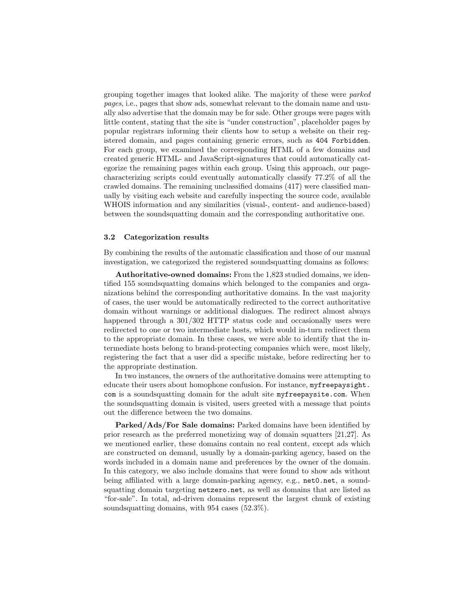grouping together images that looked alike. The majority of these were parked pages, i.e., pages that show ads, somewhat relevant to the domain name and usually also advertise that the domain may be for sale. Other groups were pages with little content, stating that the site is "under construction", placeholder pages by popular registrars informing their clients how to setup a website on their registered domain, and pages containing generic errors, such as 404 Forbidden. For each group, we examined the corresponding HTML of a few domains and created generic HTML- and JavaScript-signatures that could automatically categorize the remaining pages within each group. Using this approach, our pagecharacterizing scripts could eventually automatically classify 77.2% of all the crawled domains. The remaining unclassified domains (417) were classified manually by visiting each website and carefully inspecting the source code, available WHOIS information and any similarities (visual-, content- and audience-based) between the soundsquatting domain and the corresponding authoritative one.

#### 3.2 Categorization results

By combining the results of the automatic classification and those of our manual investigation, we categorized the registered soundsquatting domains as follows:

Authoritative-owned domains: From the 1,823 studied domains, we identified 155 soundsquatting domains which belonged to the companies and organizations behind the corresponding authoritative domains. In the vast majority of cases, the user would be automatically redirected to the correct authoritative domain without warnings or additional dialogues. The redirect almost always happened through a 301/302 HTTP status code and occasionally users were redirected to one or two intermediate hosts, which would in-turn redirect them to the appropriate domain. In these cases, we were able to identify that the intermediate hosts belong to brand-protecting companies which were, most likely, registering the fact that a user did a specific mistake, before redirecting her to the appropriate destination.

In two instances, the owners of the authoritative domains were attempting to educate their users about homophone confusion. For instance, myfreepaysight. com is a soundsquatting domain for the adult site myfreepaysite.com. When the soundsquatting domain is visited, users greeted with a message that points out the difference between the two domains.

Parked/Ads/For Sale domains: Parked domains have been identified by prior research as the preferred monetizing way of domain squatters [21,27]. As we mentioned earlier, these domains contain no real content, except ads which are constructed on demand, usually by a domain-parking agency, based on the words included in a domain name and preferences by the owner of the domain. In this category, we also include domains that were found to show ads without being affiliated with a large domain-parking agency, e.g., net0.net, a soundsquatting domain targeting netzero.net, as well as domains that are listed as "for-sale". In total, ad-driven domains represent the largest chunk of existing soundsquatting domains, with 954 cases (52.3%).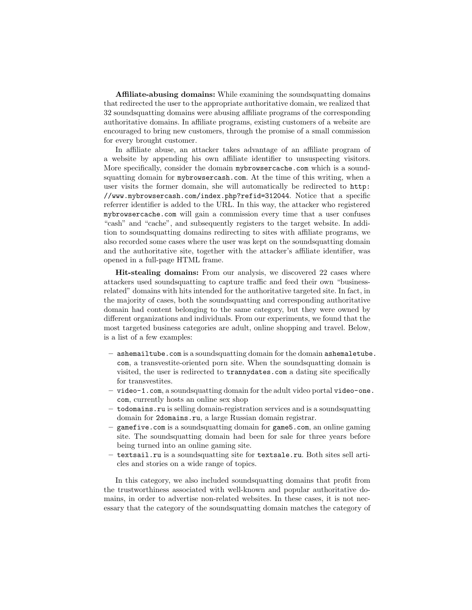Affiliate-abusing domains: While examining the soundsquatting domains that redirected the user to the appropriate authoritative domain, we realized that 32 soundsquatting domains were abusing affiliate programs of the corresponding authoritative domains. In affiliate programs, existing customers of a website are encouraged to bring new customers, through the promise of a small commission for every brought customer.

In affiliate abuse, an attacker takes advantage of an affiliate program of a website by appending his own affiliate identifier to unsuspecting visitors. More specifically, consider the domain mybrowsercache.com which is a soundsquatting domain for mybrowsercash.com. At the time of this writing, when a user visits the former domain, she will automatically be redirected to http: //www.mybrowsercash.com/index.php?refid=312044. Notice that a specific referrer identifier is added to the URL. In this way, the attacker who registered mybrowsercache.com will gain a commission every time that a user confuses "cash" and "cache", and subsequently registers to the target website. In addition to soundsquatting domains redirecting to sites with affiliate programs, we also recorded some cases where the user was kept on the soundsquatting domain and the authoritative site, together with the attacker's affiliate identifier, was opened in a full-page HTML frame.

Hit-stealing domains: From our analysis, we discovered 22 cases where attackers used soundsquatting to capture traffic and feed their own "businessrelated" domains with hits intended for the authoritative targeted site. In fact, in the majority of cases, both the soundsquatting and corresponding authoritative domain had content belonging to the same category, but they were owned by different organizations and individuals. From our experiments, we found that the most targeted business categories are adult, online shopping and travel. Below, is a list of a few examples:

- ashemailtube.com is a soundsquatting domain for the domain ashemaletube. com, a transvestite-oriented porn site. When the soundsquatting domain is visited, the user is redirected to trannydates.com a dating site specifically for transvestites.
- video-1.com, a soundsquatting domain for the adult video portal video-one. com, currently hosts an online sex shop
- todomains.ru is selling domain-registration services and is a soundsquatting domain for 2domains.ru, a large Russian domain registrar.
- gamefive.com is a soundsquatting domain for game5.com, an online gaming site. The soundsquatting domain had been for sale for three years before being turned into an online gaming site.
- textsail.ru is a soundsquatting site for textsale.ru. Both sites sell articles and stories on a wide range of topics.

In this category, we also included soundsquatting domains that profit from the trustworthiness associated with well-known and popular authoritative domains, in order to advertise non-related websites. In these cases, it is not necessary that the category of the soundsquatting domain matches the category of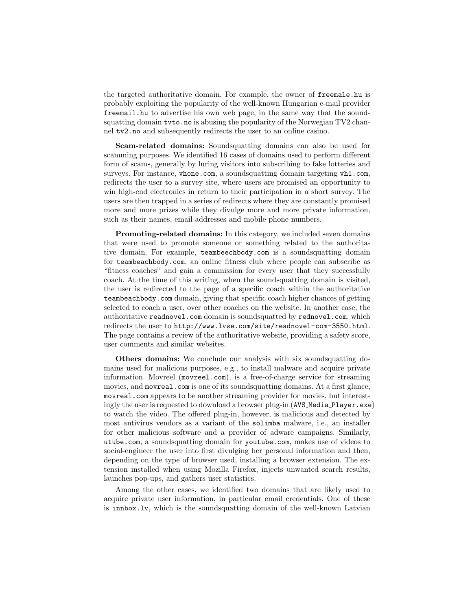the targeted authoritative domain. For example, the owner of freemale.hu is probably exploiting the popularity of the well-known Hungarian e-mail provider freemail.hu to advertise his own web page, in the same way that the soundsquatting domain tvto.no is abusing the popularity of the Norwegian TV2 channel tv2.no and subsequently redirects the user to an online casino.

Scam-related domains: Soundsquatting domains can also be used for scamming purposes. We identified 16 cases of domains used to perform different form of scams, generally by luring visitors into subscribing to fake lotteries and surveys. For instance, vhone.com, a soundsquatting domain targeting vh1.com, redirects the user to a survey site, where users are promised an opportunity to win high-end electronics in return to their participation in a short survey. The users are then trapped in a series of redirects where they are constantly promised more and more prizes while they divulge more and more private information, such as their names, email addresses and mobile phone numbers.

Promoting-related domains: In this category, we included seven domains that were used to promote someone or something related to the authoritative domain. For example, teambeechbody.com is a soundsquatting domain for teambeachbody.com, an online fitness club where people can subscribe as "fitness coaches" and gain a commission for every user that they successfully coach. At the time of this writing, when the soundsquatting domain is visited, the user is redirected to the page of a specific coach within the authoritative teambeachbody.com domain, giving that specific coach higher chances of getting selected to coach a user, over other coaches on the website. In another case, the authoritative readnovel.com domain is soundsquatted by rednovel.com, which redirects the user to http://www.lvse.com/site/readnovel-com-3550.html. The page contains a review of the authoritative website, providing a safety score, user comments and similar websites.

Others domains: We conclude our analysis with six soundsquatting domains used for malicious purposes, e.g., to install malware and acquire private information. Movreel (movreel.com), is a free-of-charge service for streaming movies, and movreal.com is one of its soundsquatting domains. At a first glance, movreal.com appears to be another streaming provider for movies, but interestingly the user is requested to download a browser plug-in (AVS Media Player.exe) to watch the video. The offered plug-in, however, is malicious and detected by most antivirus vendors as a variant of the solimba malware, i.e., an installer for other malicious software and a provider of adware campaigns. Similarly, utube.com, a soundsquatting domain for youtube.com, makes use of videos to social-engineer the user into first divulging her personal information and then, depending on the type of browser used, installing a browser extension. The extension installed when using Mozilla Firefox, injects unwanted search results, launches pop-ups, and gathers user statistics.

Among the other cases, we identified two domains that are likely used to acquire private user information, in particular email credentials. One of these is innbox.lv, which is the soundsquatting domain of the well-known Latvian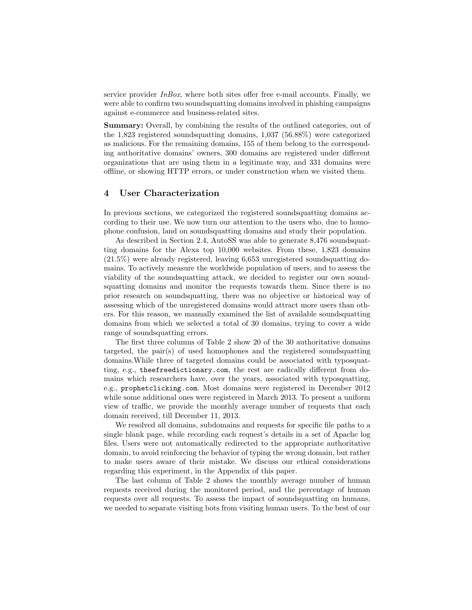service provider InBox, where both sites offer free e-mail accounts. Finally, we were able to confirm two soundsquatting domains involved in phishing campaigns against e-commerce and business-related sites.

Summary: Overall, by combining the results of the outlined categories, out of the 1,823 registered soundsquatting domains, 1,037 (56.88%) were categorized as malicious. For the remaining domains, 155 of them belong to the corresponding authoritative domains' owners, 300 domains are registered under different organizations that are using them in a legitimate way, and 331 domains were offline, or showing HTTP errors, or under construction when we visited them.

#### 4 User Characterization

In previous sections, we categorized the registered soundsquatting domains according to their use. We now turn our attention to the users who, due to homophone confusion, land on soundsquatting domains and study their population.

As described in Section 2.4, AutoSS was able to generate 8,476 soundsquatting domains for the Alexa top 10,000 websites. From these, 1,823 domains (21.5%) were already registered, leaving 6,653 unregistered soundsquatting domains. To actively measure the worldwide population of users, and to assess the viability of the soundsquatting attack, we decided to register our own soundsquatting domains and monitor the requests towards them. Since there is no prior research on soundsquatting, there was no objective or historical way of assessing which of the unregistered domains would attract more users than others. For this reason, we manually examined the list of available soundsquatting domains from which we selected a total of 30 domains, trying to cover a wide range of soundsquatting errors.

The first three columns of Table 2 show 20 of the 30 authoritative domains targeted, the pair(s) of used homophones and the registered soundsquatting domains.While three of targeted domains could be associated with typosquatting, e.g., theefreedictionary.com, the rest are radically different from domains which researchers have, over the years, associated with typosquatting, e.g., prophetclicking.com. Most domains were registered in December 2012 while some additional ones were registered in March 2013. To present a uniform view of traffic, we provide the monthly average number of requests that each domain received, till December 11, 2013.

We resolved all domains, subdomains and requests for specific file paths to a single blank page, while recording each request's details in a set of Apache log files. Users were not automatically redirected to the appropriate authoritative domain, to avoid reinforcing the behavior of typing the wrong domain, but rather to make users aware of their mistake. We discuss our ethical considerations regarding this experiment, in the Appendix of this paper.

The last column of Table 2 shows the monthly average number of human requests received during the monitored period, and the percentage of human requests over all requests. To assess the impact of soundsquatting on humans, we needed to separate visiting bots from visiting human users. To the best of our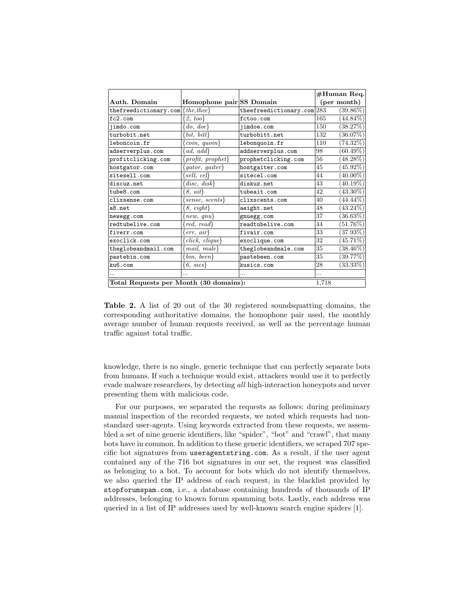|                                        |                          |                            | #Human Req. |             |
|----------------------------------------|--------------------------|----------------------------|-------------|-------------|
| Auth. Domain                           | Homophone pair SS Domain |                            | (per month) |             |
| thefreedictionary.com $\{the, thee\}$  |                          | theefreedictionary.com 283 |             | $(39.86\%)$ |
| fc2.com                                | $\{2, \text{ too}\}\$    | fctoo.com                  | 165         | $(44.84\%)$ |
| jimdo.com                              | do, do                   | jimdoe.com                 | 150         | $(38.27\%)$ |
| turbobit.net                           | $bit, \; bitt$           | turbobitt.net              | 132         | $(36.07\%)$ |
| leboncoin.fr                           | $\{coin, \ quoin \}$     | lebonquoin.fr              | 110         | $(74.32\%)$ |
| adserverplus.com                       | $ad, \, add\}$           | addserverplus.com          | 98          | $(60.49\%)$ |
| profitclicking.com                     | $\{profit, \, prompt\}$  | prophetclicking.com        | 56          | $(48.28\%)$ |
| hostgator.com                          | $\{gator, \ gater\}$     | hostgaiter.com             | 45          | $(45.92\%)$ |
| sitesell.com                           | sell, $cel$              | sitecel.com                | 44          | $(40.00\%)$ |
| discuz.net                             | $disc, disk\}$           | diskuz.net                 | 43          | $(40.19\%)$ |
| tube8.com                              | $8. \text{ait}$          | tubeait.com                | 42          | $(43.30\%)$ |
| clixsense.com                          | sense, scents            | clixscents.com             | 40          | $(44.44\%)$ |
| a8.net                                 | $\{8, \text{ eight}\}\$  | aeight.net                 | 48          | $(43.24\%)$ |
| newegg.com                             | $new, gnu\}$             | gnuegg.com                 | 37          | $(36.63\%)$ |
| redtubelive.com                        | $red, read\}$            | readtubelive.com           | 44          | $(51.76\%)$ |
| fiverr.com                             | err, air                 | fivair.com                 | 33          | $(37.93\%)$ |
| exoclick.com                           | $click, \; clique$       | exoclique.com              | 32          | $(45.71\%)$ |
| theglobeandmail.com                    | $mail, male\}$           | theglobeandmale.com        | 35          | $(38.46\%)$ |
| pastebin.com                           | $bin, \, been\}$         | pastebeen.com              | 35          | $(39.77\%)$ |
| ku6.com                                | $\{6, \text{ sics}\}\$   | kusics.com                 | 28          | $(33.33\%)$ |
|                                        |                          |                            |             |             |
| Total Requests per Month (30 domains): | 1,718                    |                            |             |             |

Table 2. A list of 20 out of the 30 registered soundsquatting domains, the corresponding authoritative domains, the homophone pair used, the monthly average number of human requests received, as well as the percentage human traffic against total traffic.

knowledge, there is no single, generic technique that can perfectly separate bots from humans. If such a technique would exist, attackers would use it to perfectly evade malware researchers, by detecting all high-interaction honeypots and never presenting them with malicious code.

For our purposes, we separated the requests as follows: during preliminary manual inspection of the recorded requests, we noted which requests had nonstandard user-agents. Using keywords extracted from these requests, we assembled a set of nine generic identifiers, like "spider", "bot" and "crawl", that many bots have in common. In addition to these generic identifiers, we scraped 707 specific bot signatures from useragentstring.com. As a result, if the user agent contained any of the 716 bot signatures in our set, the request was classified as belonging to a bot. To account for bots which do not identify themselves, we also queried the IP address of each request, in the blacklist provided by stopforumspam.com, i.e., a database containing hundreds of thousands of IP addresses, belonging to known forum spamming bots. Lastly, each address was queried in a list of IP addresses used by well-known search engine spiders [1].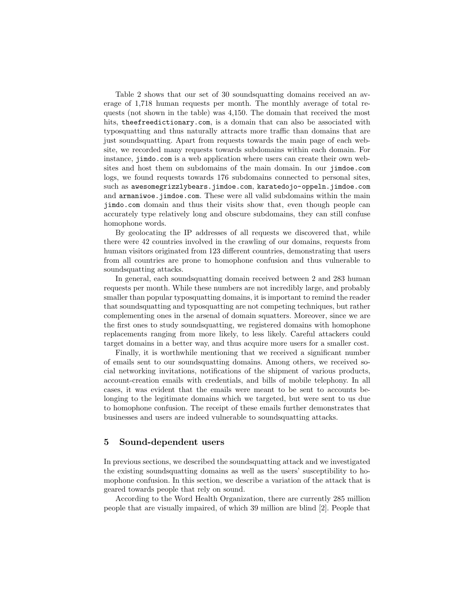Table 2 shows that our set of 30 soundsquatting domains received an average of 1,718 human requests per month. The monthly average of total requests (not shown in the table) was 4,150. The domain that received the most hits, theefreedictionary.com, is a domain that can also be associated with typosquatting and thus naturally attracts more traffic than domains that are just soundsquatting. Apart from requests towards the main page of each website, we recorded many requests towards subdomains within each domain. For instance, jimdo.com is a web application where users can create their own websites and host them on subdomains of the main domain. In our jimdoe.com logs, we found requests towards 176 subdomains connected to personal sites, such as awesomegrizzlybears.jimdoe.com, karatedojo-oppeln.jimdoe.com and armaniwoe.jimdoe.com. These were all valid subdomains within the main jimdo.com domain and thus their visits show that, even though people can accurately type relatively long and obscure subdomains, they can still confuse homophone words.

By geolocating the IP addresses of all requests we discovered that, while there were 42 countries involved in the crawling of our domains, requests from human visitors originated from 123 different countries, demonstrating that users from all countries are prone to homophone confusion and thus vulnerable to soundsquatting attacks.

In general, each soundsquatting domain received between 2 and 283 human requests per month. While these numbers are not incredibly large, and probably smaller than popular typosquatting domains, it is important to remind the reader that soundsquatting and typosquatting are not competing techniques, but rather complementing ones in the arsenal of domain squatters. Moreover, since we are the first ones to study soundsquatting, we registered domains with homophone replacements ranging from more likely, to less likely. Careful attackers could target domains in a better way, and thus acquire more users for a smaller cost.

Finally, it is worthwhile mentioning that we received a significant number of emails sent to our soundsquatting domains. Among others, we received social networking invitations, notifications of the shipment of various products, account-creation emails with credentials, and bills of mobile telephony. In all cases, it was evident that the emails were meant to be sent to accounts belonging to the legitimate domains which we targeted, but were sent to us due to homophone confusion. The receipt of these emails further demonstrates that businesses and users are indeed vulnerable to soundsquatting attacks.

### 5 Sound-dependent users

In previous sections, we described the soundsquatting attack and we investigated the existing soundsquatting domains as well as the users' susceptibility to homophone confusion. In this section, we describe a variation of the attack that is geared towards people that rely on sound.

According to the Word Health Organization, there are currently 285 million people that are visually impaired, of which 39 million are blind [2]. People that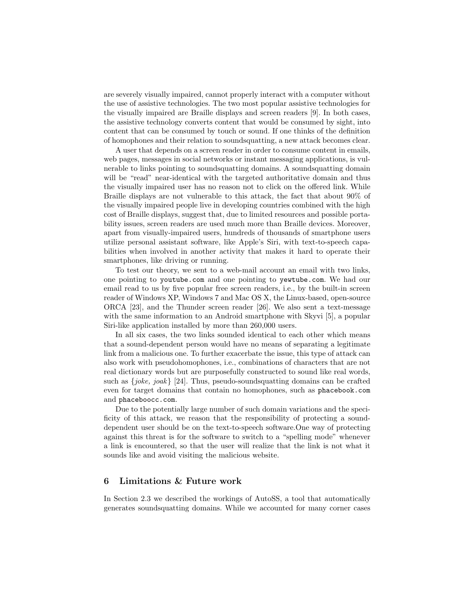are severely visually impaired, cannot properly interact with a computer without the use of assistive technologies. The two most popular assistive technologies for the visually impaired are Braille displays and screen readers [9]. In both cases, the assistive technology converts content that would be consumed by sight, into content that can be consumed by touch or sound. If one thinks of the definition of homophones and their relation to soundsquatting, a new attack becomes clear.

A user that depends on a screen reader in order to consume content in emails, web pages, messages in social networks or instant messaging applications, is vulnerable to links pointing to soundsquatting domains. A soundsquatting domain will be "read" near-identical with the targeted authoritative domain and thus the visually impaired user has no reason not to click on the offered link. While Braille displays are not vulnerable to this attack, the fact that about 90% of the visually impaired people live in developing countries combined with the high cost of Braille displays, suggest that, due to limited resources and possible portability issues, screen readers are used much more than Braille devices. Moreover, apart from visually-impaired users, hundreds of thousands of smartphone users utilize personal assistant software, like Apple's Siri, with text-to-speech capabilities when involved in another activity that makes it hard to operate their smartphones, like driving or running.

To test our theory, we sent to a web-mail account an email with two links, one pointing to youtube.com and one pointing to yewtube.com. We had our email read to us by five popular free screen readers, i.e., by the built-in screen reader of Windows XP, Windows 7 and Mac OS X, the Linux-based, open-source ORCA [23], and the Thunder screen reader [26]. We also sent a text-message with the same information to an Android smartphone with Skyvi [5], a popular Siri-like application installed by more than 260,000 users.

In all six cases, the two links sounded identical to each other which means that a sound-dependent person would have no means of separating a legitimate link from a malicious one. To further exacerbate the issue, this type of attack can also work with pseudohomophones, i.e., combinations of characters that are not real dictionary words but are purposefully constructed to sound like real words, such as  $\{joke, joak\}$  [24]. Thus, pseudo-soundsquatting domains can be crafted even for target domains that contain no homophones, such as phacebook.com and phaceboocc.com.

Due to the potentially large number of such domain variations and the specificity of this attack, we reason that the responsibility of protecting a sounddependent user should be on the text-to-speech software.One way of protecting against this threat is for the software to switch to a "spelling mode" whenever a link is encountered, so that the user will realize that the link is not what it sounds like and avoid visiting the malicious website.

# 6 Limitations & Future work

In Section 2.3 we described the workings of AutoSS, a tool that automatically generates soundsquatting domains. While we accounted for many corner cases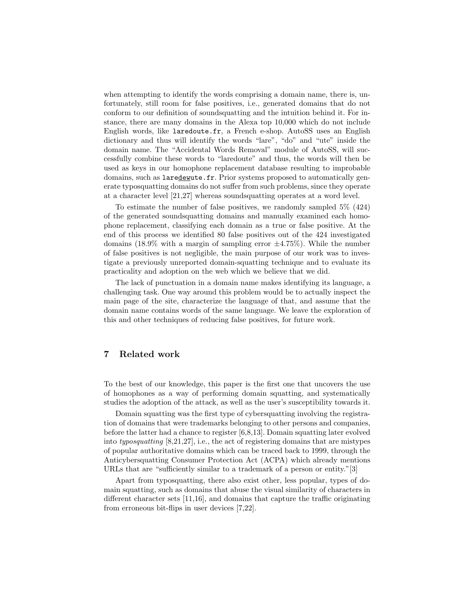when attempting to identify the words comprising a domain name, there is, unfortunately, still room for false positives, i.e., generated domains that do not conform to our definition of soundsquatting and the intuition behind it. For instance, there are many domains in the Alexa top 10,000 which do not include English words, like laredoute.fr, a French e-shop. AutoSS uses an English dictionary and thus will identify the words "lare", "do" and "ute" inside the domain name. The "Accidental Words Removal" module of AutoSS, will successfully combine these words to "laredoute" and thus, the words will then be used as keys in our homophone replacement database resulting to improbable domains, such as laredewute.fr. Prior systems proposed to automatically generate typosquatting domains do not suffer from such problems, since they operate at a character level [21,27] whereas soundsquatting operates at a word level.

To estimate the number of false positives, we randomly sampled 5% (424) of the generated soundsquatting domains and manually examined each homophone replacement, classifying each domain as a true or false positive. At the end of this process we identified 80 false positives out of the 424 investigated domains (18.9% with a margin of sampling error  $\pm 4.75\%$ ). While the number of false positives is not negligible, the main purpose of our work was to investigate a previously unreported domain-squatting technique and to evaluate its practicality and adoption on the web which we believe that we did.

The lack of punctuation in a domain name makes identifying its language, a challenging task. One way around this problem would be to actually inspect the main page of the site, characterize the language of that, and assume that the domain name contains words of the same language. We leave the exploration of this and other techniques of reducing false positives, for future work.

## 7 Related work

To the best of our knowledge, this paper is the first one that uncovers the use of homophones as a way of performing domain squatting, and systematically studies the adoption of the attack, as well as the user's susceptibility towards it.

Domain squatting was the first type of cybersquatting involving the registration of domains that were trademarks belonging to other persons and companies, before the latter had a chance to register [6,8,13]. Domain squatting later evolved into typosquatting  $[8,21,27]$ , i.e., the act of registering domains that are mistypes of popular authoritative domains which can be traced back to 1999, through the Anticybersquatting Consumer Protection Act (ACPA) which already mentions URLs that are "sufficiently similar to a trademark of a person or entity."[3]

Apart from typosquatting, there also exist other, less popular, types of domain squatting, such as domains that abuse the visual similarity of characters in different character sets [11,16], and domains that capture the traffic originating from erroneous bit-flips in user devices [7,22].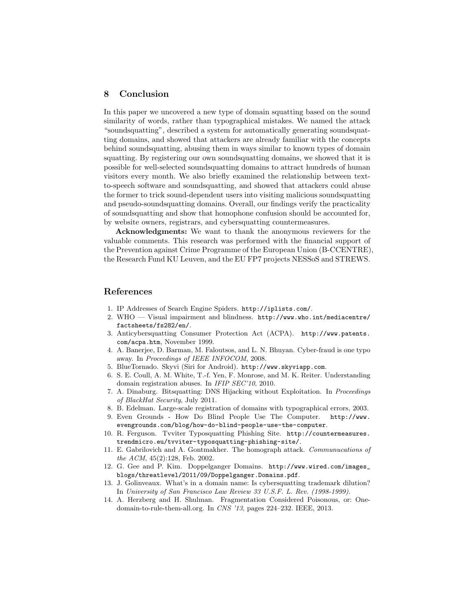# 8 Conclusion

In this paper we uncovered a new type of domain squatting based on the sound similarity of words, rather than typographical mistakes. We named the attack "soundsquatting", described a system for automatically generating soundsquatting domains, and showed that attackers are already familiar with the concepts behind soundsquatting, abusing them in ways similar to known types of domain squatting. By registering our own soundsquatting domains, we showed that it is possible for well-selected soundsquatting domains to attract hundreds of human visitors every month. We also briefly examined the relationship between textto-speech software and soundsquatting, and showed that attackers could abuse the former to trick sound-dependent users into visiting malicious soundsquatting and pseudo-soundsquatting domains. Overall, our findings verify the practicality of soundsquatting and show that homophone confusion should be accounted for, by website owners, registrars, and cybersquatting countermeasures.

Acknowledgments: We want to thank the anonymous reviewers for the valuable comments. This research was performed with the financial support of the Prevention against Crime Programme of the European Union (B-CCENTRE), the Research Fund KU Leuven, and the EU FP7 projects NESSoS and STREWS.

# References

- 1. IP Addresses of Search Engine Spiders. http://iplists.com/.
- 2. WHO Visual impairment and blindness. http://www.who.int/mediacentre/ factsheets/fs282/en/.
- 3. Anticybersquatting Consumer Protection Act (ACPA). http://www.patents. com/acpa.htm, November 1999.
- 4. A. Banerjee, D. Barman, M. Faloutsos, and L. N. Bhuyan. Cyber-fraud is one typo away. In Proceedings of IEEE INFOCOM, 2008.
- 5. BlueTornado. Skyvi (Siri for Android). http://www.skyviapp.com.
- 6. S. E. Coull, A. M. White, T.-f. Yen, F. Monrose, and M. K. Reiter. Understanding domain registration abuses. In IFIP SEC'10, 2010.
- 7. A. Dinaburg. Bitsquatting: DNS Hijacking without Exploitation. In Proceedings of BlackHat Security, July 2011.
- 8. B. Edelman. Large-scale registration of domains with typographical errors, 2003.
- 9. Even Grounds How Do Blind People Use The Computer. http://www. evengrounds.com/blog/how-do-blind-people-use-the-computer.
- 10. R. Ferguson. Tvviter Typosquatting Phishing Site. http://countermeasures. trendmicro.eu/tvviter-typosquatting-phishing-site/.
- 11. E. Gabrilovich and A. Gontmakher. The homograph attack. Communucations of the ACM, 45(2):128, Feb. 2002.
- 12. G. Gee and P. Kim. Doppelganger Domains. http://www.wired.com/images\_ blogs/threatlevel/2011/09/Doppelganger.Domains.pdf.
- 13. J. Golinveaux. What's in a domain name: Is cybersquatting trademark dilution? In University of San Francisco Law Review 33 U.S.F. L. Rev. (1998-1999).
- 14. A. Herzberg and H. Shulman. Fragmentation Considered Poisonous, or: Onedomain-to-rule-them-all.org. In CNS '13, pages 224–232. IEEE, 2013.